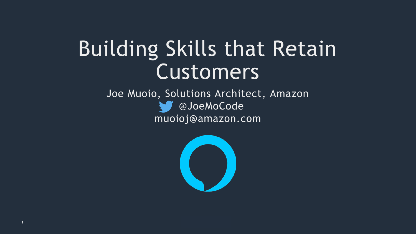## Building Skills that Retain Customers

#### Joe Muoio, Solutions Architect, Amazon @JoeMoCode muoioj@amazon.com

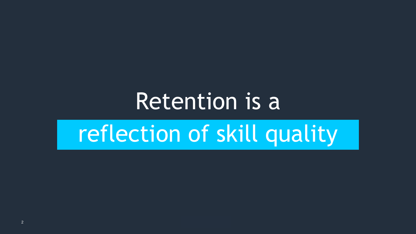## Retention is a reflection of skill quality

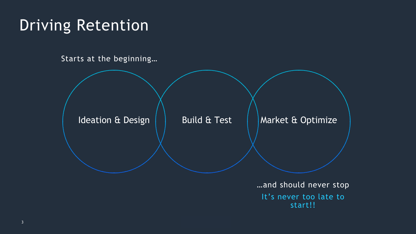

#### Driving Retention

Starts at the beginning…

…and should never stop It's never too late to start!!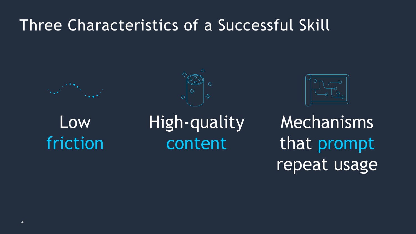#### Low friction

#### High-quality content

## Mechanisms that prompt repeat usage





#### Three Characteristics of a Successful Skill



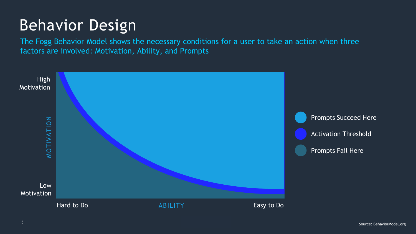

The Fogg Behavior Model shows the necessary conditions for a user to take an action when three factors are involved: Motivation, Ability, and Prompts

#### Behavior Design

Source: BehaviorModel.org <sup>5</sup>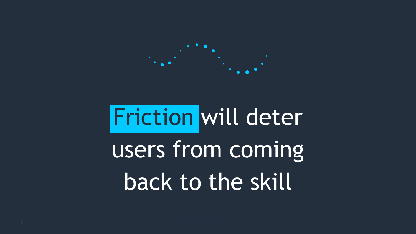## 

## Friction will deter users from coming back to the skill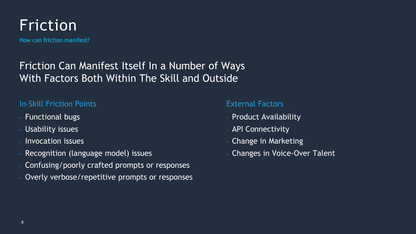

How can friction manifest?

- › Functional bugs
- › Usability issues
- › Invocation issues
- › Recognition (language model) issues
- › Confusing/poorly crafted prompts or responses
- Overly verbose/repetitive prompts or responses

#### Friction Can Manifest Itself In a Number of Ways With Factors Both Within The Skill and Outside

#### In-Skill Friction Points

External Factors

- › Product Availability
- › API Connectivity
- › Change in Marketing
- › Changes in Voice-Over Talent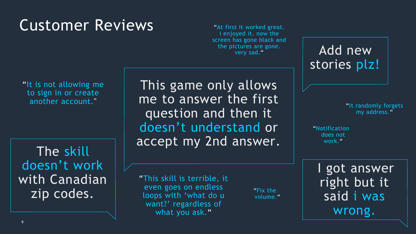#### Customer Reviews

This game only allows me to answer the first question and then it doesn't understand or accept my 2nd answer.

> "Fix the volume."

"Notification does not work."

"It is not allowing me to sign in or create another account."

> "This skill is terrible, it even goes on endless loops with 'what do u want?' regardless of what you ask."

#### Add new stories plz!

"It randomly forgets my address."

"At first it worked great. i enjoyed it. now the screen has gone black and the pictures are gone. very sad."

#### I got answer right but it said i was wrong.

The skill doesn't work with Canadian zip codes.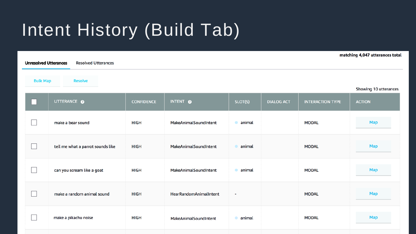### Intent History (Build Tab)

| $mass, 4, 6, 7$ accentaces cold<br><b>Unresolved Utterances</b><br><b>Resolved Utterances</b> |                                   |                   |                        |             |                   |                         |                                        |  |  |  |
|-----------------------------------------------------------------------------------------------|-----------------------------------|-------------------|------------------------|-------------|-------------------|-------------------------|----------------------------------------|--|--|--|
| <b>Bulk Map</b><br><b>Resolve</b>                                                             |                                   |                   |                        |             |                   |                         |                                        |  |  |  |
|                                                                                               | UTTERANCE O                       | <b>CONFIDENCE</b> | INTENT O               | SLOT(S)     | <b>DIALOG ACT</b> | <b>INTERACTION TYPE</b> | Showing 10 utterances<br><b>ACTION</b> |  |  |  |
|                                                                                               | make a bear sound                 | HIGH              | MakeAnimalSoundIntent  | animal<br>۰ |                   | <b>MODAL</b>            | Map                                    |  |  |  |
|                                                                                               | tell me what a parrot sounds like | HIGH              | MakeAnimalSoundIntent  | animal      |                   | <b>MODAL</b>            | Map                                    |  |  |  |
|                                                                                               | can you scream like a goat        | <b>HIGH</b>       | MakeAnimalSoundIntent  | animal<br>۰ |                   | <b>MODAL</b>            | Map                                    |  |  |  |
|                                                                                               | make a random animal sound        | <b>HIGH</b>       | HearRandomAnimalIntent | ٠           |                   | <b>MODAL</b>            | Map                                    |  |  |  |
|                                                                                               | make a pikachu noise              | <b>HIGH</b>       | MakeAnimalSoundIntent  | animal<br>۰ |                   | <b>MODAL</b>            | Map                                    |  |  |  |

#### matching 4.047 utterances total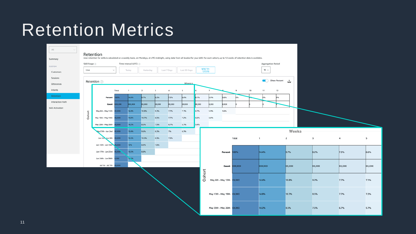#### Retention Metrics

| All<br>$\mathcal{N}_{\rm tot}$                                                                                                                                                                                              |               |                           |                           |                             |              |                 |                  |               |                      |                            |                           |                |    |                                       |      |               |
|-----------------------------------------------------------------------------------------------------------------------------------------------------------------------------------------------------------------------------|---------------|---------------------------|---------------------------|-----------------------------|--------------|-----------------|------------------|---------------|----------------------|----------------------------|---------------------------|----------------|----|---------------------------------------|------|---------------|
| Retention<br>User retention for skills is calculated on a weekly basis, on Mondays, at UTC midnight, using data from all locales for your skill. For each cohort, up to 12 weeks of retention data is available.<br>Summary |               |                           |                           |                             |              |                 |                  |               |                      |                            |                           |                |    |                                       |      |               |
| CUSTOM                                                                                                                                                                                                                      | Skill Stage 2 |                           |                           | Time Interval (UTC) $\odot$ |              |                 |                  |               |                      |                            |                           |                |    | Aggregation Period                    |      |               |
| Customers                                                                                                                                                                                                                   | Live          | $\gamma_{\rm{p}}c$        |                           | Today                       | Yesterday    |                 | Last 7 Days      | Last 30 Days  | $6/6/19 -$<br>7/7/19 |                            |                           |                |    | $W_{\cdot}$                           |      |               |
| Sessions                                                                                                                                                                                                                    |               |                           |                           |                             |              |                 |                  |               |                      |                            |                           |                |    |                                       |      |               |
| Utterances                                                                                                                                                                                                                  |               | Retention ?               |                           |                             |              |                 |                  | Weeks         |                      |                            |                           |                |    | <b>Show Percent</b><br>$\blacksquare$ |      | 圡             |
| Intents                                                                                                                                                                                                                     |               |                           | Total                     | $\mathbf{1}$                | $\mathbf{z}$ | 3               | $\boldsymbol{4}$ | 5             | 6                    | $7\phantom{.0}$            |                           | 9              | 10 | 11<br>12                              |      |               |
| Retention                                                                                                                                                                                                                   |               | Percent                   | 00%                       | 14.4%                       | 9.7%         | 8.2%            | 7.3%             | 6.6%          | 6.1%                 | 5.9%                       | 5.6%                      | D%             |    | D%<br>p%                              |      |               |
| Interaction Path                                                                                                                                                                                                            |               |                           | <b><i><u>loox</u></i></b> | <b>loocxook</b>             |              |                 | <b>xxxxx</b>     | <b>kxcxxx</b> | <b>kxcxxx</b>        | x,xxx                      | x,xxx                     |                |    |                                       |      |               |
| Skill Activation                                                                                                                                                                                                            |               | Count                     |                           |                             | <b>XXXXX</b> | <b>boc.xoox</b> |                  |               |                      |                            |                           |                |    |                                       |      |               |
|                                                                                                                                                                                                                             | Cohort        | May 6th - May 12th        | <b>XXXXX</b>              | 14.4%                       | 10.8%        | 9.2%            | 7.7%             | 7.1%          | 6.7%                 | 5.9%                       | 5.6%                      |                |    |                                       |      |               |
|                                                                                                                                                                                                                             |               | May 13th - May 19th       | <b>XXXXXX</b>             | 14.8%                       | 10.7%        | 8.5%            | 7.7%             | 7.2%          | 6.2%                 | 5.8%                       |                           |                |    |                                       |      |               |
|                                                                                                                                                                                                                             |               | May 20th - May 26th       | 1000000                   | 14.2%                       | 8.5%         | 7.5%            | 6.7%             | 5.7%          | 5.4%                 |                            |                           |                |    |                                       |      |               |
|                                                                                                                                                                                                                             |               | tay 27th - Jun 2nd        | <b>XXXXX</b>              | 13.4%                       | 9.6%         | 8.2%            | 7%               | 6.3%          |                      |                            |                           |                |    |                                       |      | Weeks         |
|                                                                                                                                                                                                                             |               | Jun 3ro Jun 9th           | <b>XXXXX</b>              | 15.5%                       | 10.2%        | 8.3%            | 7.3%             |               |                      |                            |                           | Total          |    | $\mathbf{1}$                          | 2    |               |
|                                                                                                                                                                                                                             |               | Jun 10th - Jun 16th XXXXX |                           | 15%                         | 8.9%         | 7.6%            |                  |               |                      |                            |                           |                |    |                                       |      |               |
|                                                                                                                                                                                                                             |               | Jun 17th - Jun 23rd       | <b>XXXXXXX</b>            | 13.5%                       | 8.8%         |                 |                  |               |                      |                            | Percent                   | 100%           |    | 14.4%                                 | 9.7% |               |
|                                                                                                                                                                                                                             |               | Jun 24th - Jun 30th       | <b>XXXXX</b>              | 125%                        |              |                 |                  |               |                      |                            |                           |                |    |                                       |      |               |
|                                                                                                                                                                                                                             |               |                           |                           |                             |              |                 |                  |               |                      |                            |                           |                |    |                                       |      |               |
|                                                                                                                                                                                                                             |               | Jul 1st - Jul 7th XXXXXX  |                           |                             |              |                 |                  |               |                      |                            |                           | Count XXX, XXX |    | <b>XXX,XXX</b>                        |      | <b>XX,XXX</b> |
|                                                                                                                                                                                                                             |               |                           |                           |                             |              |                 |                  |               | Cohort               |                            |                           |                |    |                                       |      |               |
|                                                                                                                                                                                                                             |               |                           |                           |                             |              |                 |                  |               |                      |                            | May 6th - May 12th XX,XXX |                |    | 14.4%                                 |      | 10.8%         |
|                                                                                                                                                                                                                             |               |                           |                           |                             |              |                 |                  |               |                      |                            |                           |                |    |                                       |      |               |
|                                                                                                                                                                                                                             |               |                           |                           |                             |              |                 |                  |               |                      | May 13th - May 19th        |                           | XX,XXX         |    | 14.8%                                 |      | 10.7%         |
|                                                                                                                                                                                                                             |               |                           |                           |                             |              |                 |                  |               |                      |                            |                           |                |    |                                       |      |               |
|                                                                                                                                                                                                                             |               |                           |                           |                             |              |                 |                  |               |                      | May 20th - May 26th XX,XXX |                           |                |    | 14.2%                                 | 8.5% |               |
|                                                                                                                                                                                                                             |               |                           |                           |                             |              |                 |                  |               |                      |                            |                           |                |    |                                       |      |               |

| 3             | 4             | 5             |
|---------------|---------------|---------------|
| 8.2%          | 7.3%          | 6.6%          |
| <b>XX,XXX</b> | <b>xx,xxx</b> | <b>XX,XXX</b> |
| 9.2%          | 7.7%          | 7.1%          |
| 8.5%          | 7.7%          | 7.2%          |
| 7.5%          | 6.7%          | 5.7%          |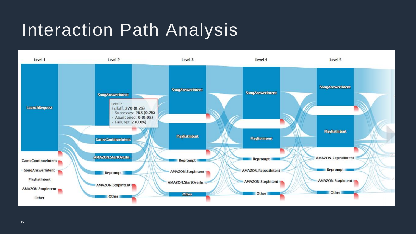#### Interaction Path Analysis

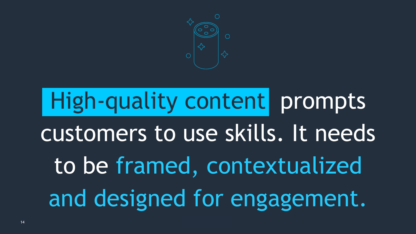

## High-quality content prompts customers to use skills. It needs to be framed, contextualized and designed for engagement.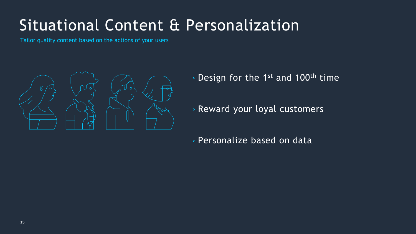#### Situational Content & Personalization

Tailor quality content based on the actions of your users



- › Design for the 1st and 100th time
- › Reward your loyal customers
- › Personalize based on data

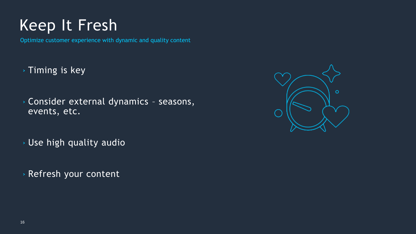#### Keep It Fresh

Optimize customer experience with dynamic and quality content

- › Timing is key
- › Consider external dynamics seasons, events, etc.
- › Use high quality audio
- › Refresh your content

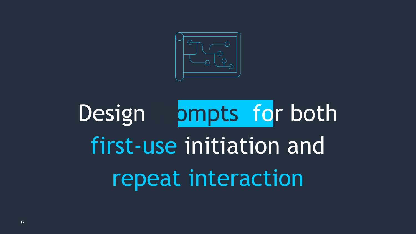

## Design **both** both first-use initiation and repeat interaction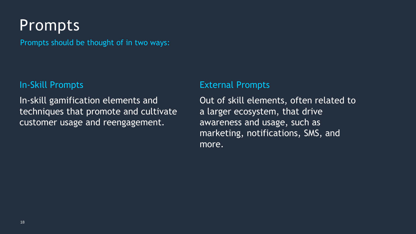#### In-Skill Prompts

In-skill gamification elements and techniques that promote and cultivate customer usage and reengagement.

#### External Prompts

Out of skill elements, often related to a larger ecosystem, that drive awareness and usage, such as marketing, notifications, SMS, and more.

Prompts should be thought of in two ways:

#### Prompts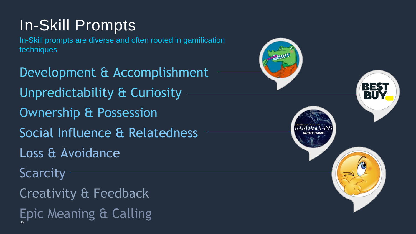Development & Accomplishment Unpredictability & Curiosity Ownership & Possession Social Influence & Relatedness Loss & Avoidance **Scarcity** Creativity & Feedback Epic Meaning & Calling 19



#### In-Skill Prompts

In-Skill prompts are diverse and often rooted in gamification techniques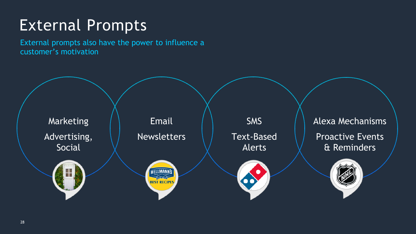

#### Alexa Mechanisms Proactive Events & Reminders



#### External Prompts

External prompts also have the power to influence a customer's motivation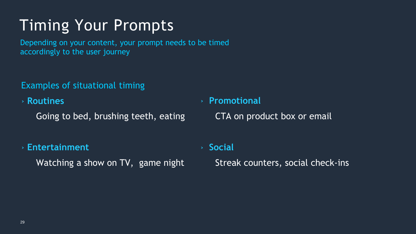Examples of situational timing

› **Routines** 

Going to bed, brushing teeth, eating

› **Entertainment**

Watching a show on TV, game night

Depending on your content, your prompt needs to be timed accordingly to the user journey

#### Timing Your Prompts

› **Promotional**

CTA on product box or email

› **Social** Streak counters, social check-ins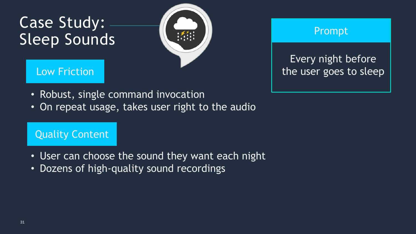#### Case Study: Sleep Sounds



#### Low Friction

#### Prompt

#### Quality Content

- Robust, single command invocation
- On repeat usage, takes user right to the audio

- User can choose the sound they want each night
- Dozens of high-quality sound recordings

#### Every night before the user goes to sleep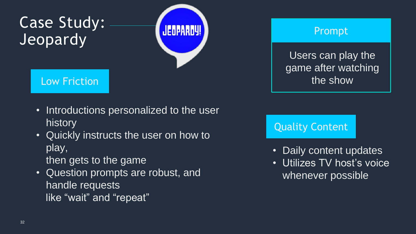#### Case Study: Jeopardy



#### Low Friction

#### Prompt

#### Quality Content

- Introductions personalized to the user history
- Quickly instructs the user on how to play, then gets to the game
- Question prompts are robust, and handle requests like "wait" and "repeat"



- -

#### Users can play the game after watching the show

• Daily content updates • Utilizes TV host's voice whenever possible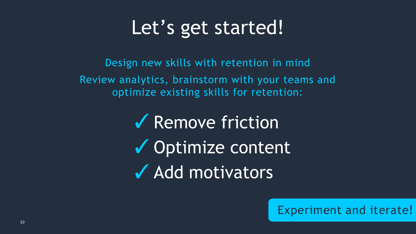## Let's get started!

Design new skills with retention in mind

Remove friction ✓ ✔ Optimize content Add motivators ✓



Review analytics, brainstorm with your teams and optimize existing skills for retention:

#### Experiment and iterate!